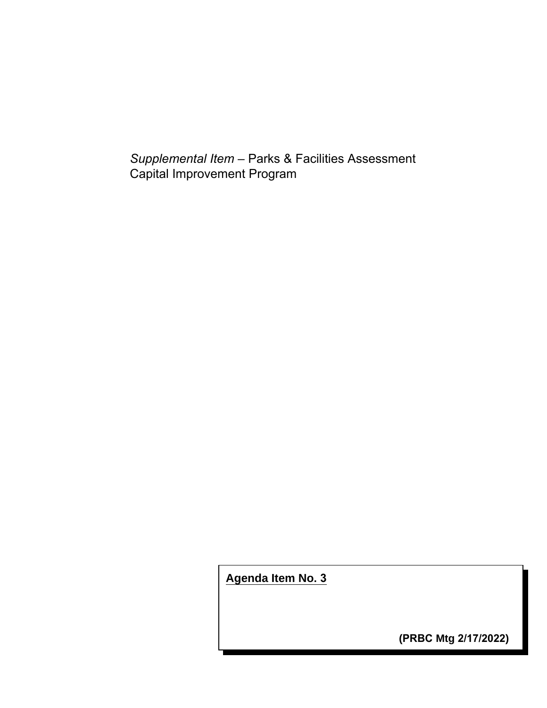*Supplemental Item* – Parks & Facilities Assessment Capital Improvement Program

**Agenda Item No. 3**

**(PRBC Mtg 2/17/2022)**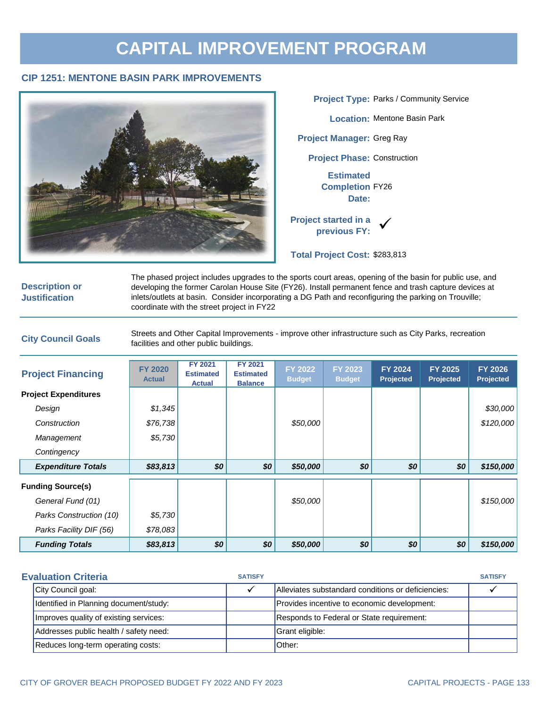### **CAPITAL IMPROVEMENT PROGRAM**

#### **CIP 1251: MENTONE BASIN PARK IMPROVEMENTS**



**Description or Justification**

The phased project includes upgrades to the sports court areas, opening of the basin for public use, and developing the former Carolan House Site (FY26). Install permanent fence and trash capture devices at inlets/outlets at basin. Consider incorporating a DG Path and reconfiguring the parking on Trouville; coordinate with the street project in FY22

**City Council Goals** Streets and Other Capital Improvements - improve other infrastructure such as City Parks, recreation facilities and other public buildings.

| <b>Project Financing</b>    | <b>FY 2020</b><br><b>Actual</b> | <b>FY 2021</b><br><b>Estimated</b><br><b>Actual</b> | <b>FY 2021</b><br><b>Estimated</b><br><b>Balance</b> | FY 2022<br><b>Budget</b> | FY 2023<br><b>Budget</b> | <b>FY 2024</b><br><b>Projected</b> | <b>FY 2025</b><br><b>Projected</b> | <b>FY 2026</b><br><b>Projected</b> |
|-----------------------------|---------------------------------|-----------------------------------------------------|------------------------------------------------------|--------------------------|--------------------------|------------------------------------|------------------------------------|------------------------------------|
| <b>Project Expenditures</b> |                                 |                                                     |                                                      |                          |                          |                                    |                                    |                                    |
| Design                      | \$1,345                         |                                                     |                                                      |                          |                          |                                    |                                    | \$30,000                           |
| Construction                | \$76,738                        |                                                     |                                                      | \$50,000                 |                          |                                    |                                    | \$120,000                          |
| Management                  | \$5,730                         |                                                     |                                                      |                          |                          |                                    |                                    |                                    |
| Contingency                 |                                 |                                                     |                                                      |                          |                          |                                    |                                    |                                    |
| <b>Expenditure Totals</b>   | \$83,813                        | \$0                                                 | \$0                                                  | \$50,000                 | \$0                      | \$0                                | \$0                                | \$150,000                          |
| <b>Funding Source(s)</b>    |                                 |                                                     |                                                      |                          |                          |                                    |                                    |                                    |
| General Fund (01)           |                                 |                                                     |                                                      | \$50,000                 |                          |                                    |                                    | \$150,000                          |
| Parks Construction (10)     | \$5,730                         |                                                     |                                                      |                          |                          |                                    |                                    |                                    |
| Parks Facility DIF (56)     | \$78,083                        |                                                     |                                                      |                          |                          |                                    |                                    |                                    |
| <b>Funding Totals</b>       | \$83,813                        | \$0                                                 | \$0                                                  | \$50,000                 | \$0                      | \$0                                | \$0                                | \$150,000                          |

| <b>Evaluation Criteria</b>             |  | <b>SATISFY</b> |                                                    | <b>SATISFY</b> |
|----------------------------------------|--|----------------|----------------------------------------------------|----------------|
| City Council goal:                     |  |                | Alleviates substandard conditions or deficiencies: |                |
| Identified in Planning document/study: |  |                | Provides incentive to economic development:        |                |
| Improves quality of existing services: |  |                | Responds to Federal or State requirement:          |                |
| Addresses public health / safety need: |  |                | Grant eligible:                                    |                |
| Reduces long-term operating costs:     |  |                | Other:                                             |                |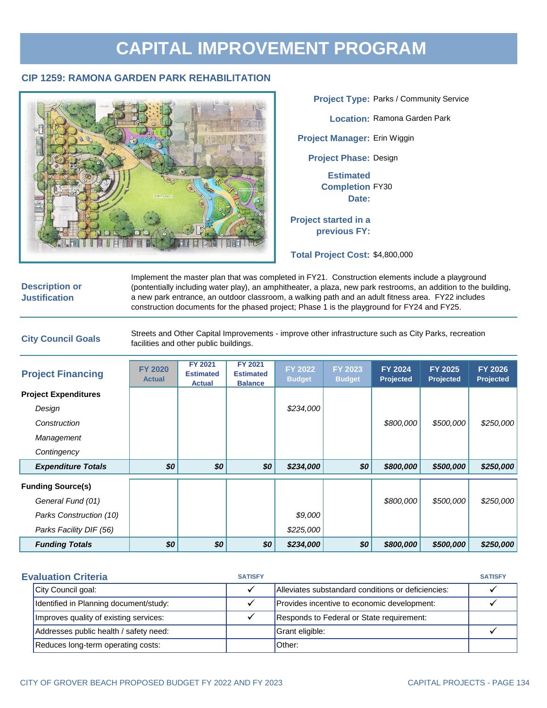# **CAPITAL IMPROVEMENT PROGRAM**

#### **CIP 1259: RAMONA GARDEN PARK REHABILITATION**



**Project Phase: Design Estimated Completion** FY30 **Date: Project started in a previous FY: Project Type:** Parks / Community Service **Location:** Ramona Garden Park **Project Manager:** Erin Wiggin

**Total Project Cost:** \$4,800,000

#### **Description or Justification**

Implement the master plan that was completed in FY21. Construction elements include a playground (pontentially including water play), an amphitheater, a plaza, new park restrooms, an addition to the building, a new park entrance, an outdoor classroom, a walking path and an adult fitness area. FY22 includes construction documents for the phased project; Phase 1 is the playground for FY24 and FY25.

**City Council Goals** Streets and Other Capital Improvements - improve other infrastructure such as City Parks, recreation facilities and other public buildings.

| <b>Project Financing</b>    | <b>FY 2020</b><br><b>Actual</b> | <b>FY 2021</b><br><b>Estimated</b><br><b>Actual</b> | <b>FY 2021</b><br><b>Estimated</b><br><b>Balance</b> | FY 2022<br><b>Budget</b> | FY 2023<br><b>Budget</b> | <b>FY 2024</b><br><b>Projected</b> | <b>FY 2025</b><br><b>Projected</b> | <b>FY 2026</b><br><b>Projected</b> |
|-----------------------------|---------------------------------|-----------------------------------------------------|------------------------------------------------------|--------------------------|--------------------------|------------------------------------|------------------------------------|------------------------------------|
| <b>Project Expenditures</b> |                                 |                                                     |                                                      |                          |                          |                                    |                                    |                                    |
| Design                      |                                 |                                                     |                                                      | \$234,000                |                          |                                    |                                    |                                    |
| Construction                |                                 |                                                     |                                                      |                          |                          | \$800,000                          | \$500,000                          | \$250,000                          |
| Management                  |                                 |                                                     |                                                      |                          |                          |                                    |                                    |                                    |
| Contingency                 |                                 |                                                     |                                                      |                          |                          |                                    |                                    |                                    |
| <b>Expenditure Totals</b>   | \$0                             | \$0                                                 | \$0                                                  | \$234,000                | \$0                      | \$800,000                          | \$500,000                          | \$250,000                          |
| <b>Funding Source(s)</b>    |                                 |                                                     |                                                      |                          |                          |                                    |                                    |                                    |
| General Fund (01)           |                                 |                                                     |                                                      |                          |                          | \$800,000                          | \$500,000                          | \$250,000                          |
| Parks Construction (10)     |                                 |                                                     |                                                      | \$9,000                  |                          |                                    |                                    |                                    |
| Parks Facility DIF (56)     |                                 |                                                     |                                                      | \$225,000                |                          |                                    |                                    |                                    |
| <b>Funding Totals</b>       | \$0                             | \$0                                                 | \$0                                                  | \$234,000                | \$0                      | \$800,000                          | \$500,000                          | \$250,000                          |

| <b>Evaluation Criteria</b>             | <b>SATISFY</b> |                                                    | <b>SATISFY</b> |
|----------------------------------------|----------------|----------------------------------------------------|----------------|
| City Council goal:                     |                | Alleviates substandard conditions or deficiencies: |                |
| Identified in Planning document/study: |                | Provides incentive to economic development:        |                |
| Improves quality of existing services: |                | Responds to Federal or State requirement:          |                |
| Addresses public health / safety need: |                | Grant eligible:                                    |                |
| Reduces long-term operating costs:     |                | Other:                                             |                |